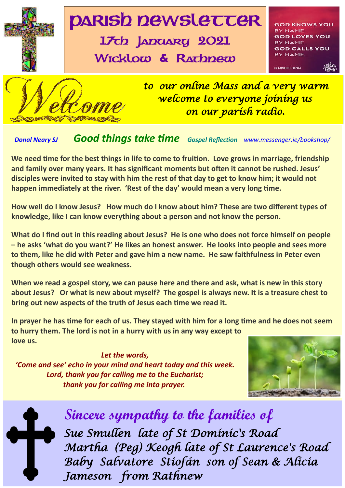

## *Donal Neary SJ Good things take time Gospel Reflection [www.messenger.ie/bookshop/](http://www.messenger.ie/bookshop/)*

**We need time for the best things in life to come to fruition. Love grows in marriage, friendship and family over many years. It has significant moments but often it cannot be rushed. Jesus' disciples were invited to stay with him the rest of that day to get to know him; it would not happen immediately at the river. 'Rest of the day' would mean a very long time.**

**How well do I know Jesus? How much do I know about him? These are two different types of knowledge, like I can know everything about a person and not know the person.**

**What do I find out in this reading about Jesus? He is one who does not force himself on people – he asks 'what do you want?' He likes an honest answer. He looks into people and sees more to them, like he did with Peter and gave him a new name. He saw faithfulness in Peter even though others would see weakness.**

**When we read a gospel story, we can pause here and there and ask, what is new in this story about Jesus? Or what is new about myself? The gospel is always new. It is a treasure chest to bring out new aspects of the truth of Jesus each time we read it.**

**In prayer he has time for each of us. They stayed with him for a long time and he does not seem to hurry them. The lord is not in a hurry with us in any way except to love us.**

*Let the words, 'Come and see' echo in your mind and heart today and this week. Lord, thank you for calling me to the Eucharist; thank you for calling me into prayer.* 





1  *Baby Salvatore Stiofán son of Sean & Alicia*   **Sincere sympathy to the families of** *Sue Smullen late of St Dominic's Road Martha (Peg) Keogh late of St Laurence's Road Jameson from Rathnew*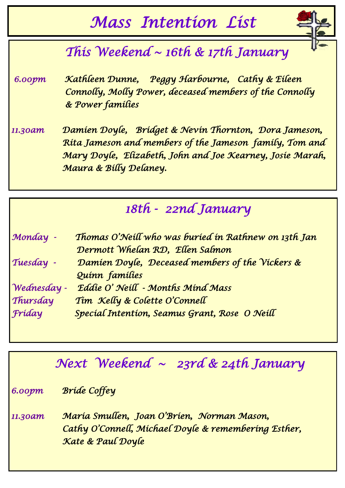# *Mass Intention List*



# *This Weekend ~ 16th & 17th January*

 *6.00pm Kathleen Dunne, Peggy Harbourne, Cathy & Eileen Connolly, Molly Power, deceased members of the Connolly & Power families* 

*11.30am Damien Doyle, Bridget & Nevin Thornton, Dora Jameson, Rita Jameson and members of the Jameson family, Tom and Mary Doyle, Elizabeth, John and Joe Kearney, Josie Marah, Maura & Billy Delaney.* 

# *18th - 22nd January*

| Monday -    | Thomas O'Neill who was buried in Rathnew on 13th Jan |
|-------------|------------------------------------------------------|
|             | Dermott Whelan RD, Ellen Salmon                      |
| Tuesday -   | Damien Doyle, Deceased members of the Vickers &      |
|             | Quinn families                                       |
| Wednesday - | Eddie O' Neill - Months Mind Mass                    |
| Thursday    | Tim Kelly & Colette O'Connell                        |
| Fríday      | Special Intention, Seamus Grant, Rose O Neill        |

# *Next Weekend ~ 23rd & 24th January*

*6.00pm Bride Coffey* 

*11.30am Maria Smullen, Joan O'Brien, Norman Mason, Cathy O'Connell, Michael Doyle & remembering Esther, Kate & Paul Doyle*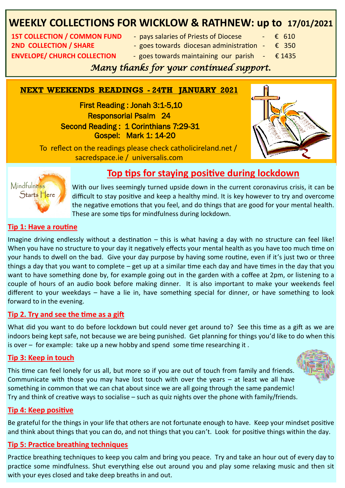## **WEEKLY COLLECTIONS FOR WICKLOW & RATHNEW: up to 17/01/2021**

**2ND COLLECTION / SHARE**  $-$  goes towards diocesan administration  $\epsilon$  350

**1ST COLLECTION / COMMON FUND** - pays salaries of Priests of Diocese  $\cdot$   $\cdot$   $\cdot$   $\cdot$  610

**ENVELOPE/ CHURCH COLLECTION** - goes towards maintaining our parish  $-\epsilon$  1435

### *Many thanks for your continued support.*

#### **NEXT WEEKENDS READINGS - 24TH JANUARY 2021**

 First Reading : Jonah 3:1-5,10 Responsorial Psalm 24 Second Reading: 1 Corinthians 7:29-31 Gospel: Mark 1: 14-20



 To reflect on the readings please check catholicireland.net / sacredspace.ie / universalis.com



### **Top tips for staying positive during lockdown**

With our lives seemingly turned upside down in the current coronavirus crisis, it can be difficult to stay positive and keep a healthy mind. It is key however to try and overcome the negative emotions that you feel, and do things that are good for your mental health. These are some tips for mindfulness during lockdown.

#### **Tip 1: Have a routine**

Imagine driving endlessly without a destination – this is what having a day with no structure can feel like! When you have no structure to your day it negatively effects your mental health as you have too much time on your hands to dwell on the bad. Give your day purpose by having some routine, even if it's just two or three things a day that you want to complete – get up at a similar time each day and have times in the day that you want to have something done by, for example going out in the garden with a coffee at 2pm, or listening to a couple of hours of an audio book before making dinner. It is also important to make your weekends feel different to your weekdays – have a lie in, have something special for dinner, or have something to look forward to in the evening.

#### **Tip 2. Try and see the time as a gift**

What did you want to do before lockdown but could never get around to? See this time as a gift as we are indoors being kept safe, not because we are being punished. Get planning for things you'd like to do when this is over – for example: take up a new hobby and spend some time researching it .

#### **Tip 3: Keep in touch**

This time can feel lonely for us all, but more so if you are out of touch from family and friends. Communicate with those you may have lost touch with over the years – at least we all have something in common that we can chat about since we are all going through the same pandemic! Try and think of creative ways to socialise – such as quiz nights over the phone with family/friends.

#### **Tip 4: Keep positive**

Be grateful for the things in your life that others are not fortunate enough to have. Keep your mindset positive and think about things that you can do, and not things that you can't. Look for positive things within the day.

### **Tip 5: Practice breathing techniques**

Practice breathing techniques to keep you calm and bring you peace. Try and take an hour out of every day to practice some mindfulness. Shut everything else out around you and play some relaxing music and then sit with your eyes closed and take deep breaths in and out.